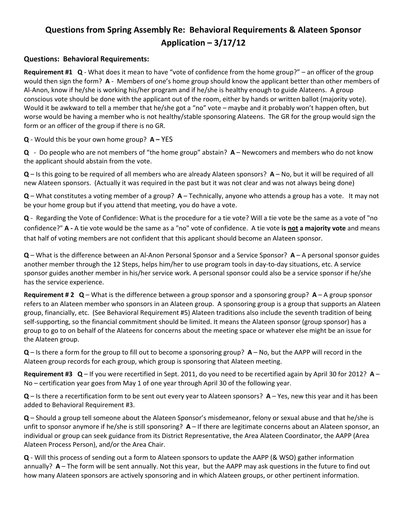# **Questions from Spring Assembly Re: Behavioral Requirements & Alateen Sponsor Application – 3/17/12**

# **Questions: Behavioral Requirements:**

**Requirement #1 Q** ‐ What does it mean to have "vote of confidence from the home group?" – an officer of the group would then sign the form? **A** – Members of one's home group should know the applicant better than other members of Al‐Anon, know if he/she is working his/her program and if he/she is healthy enough to guide Alateens. A group conscious vote should be done with the applicant out of the room, either by hands or written ballot (majority vote). Would it be awkward to tell a member that he/she got a "no" vote – maybe and it probably won't happen often, but worse would be having a member who is not healthy/stable sponsoring Alateens. The GR for the group would sign the form or an officer of the group if there is no GR.

**Q** ‐ Would this be your own home group? **A –** YES

**Q** ‐ Do people who are not members of "the home group" abstain? **A** – Newcomers and members who do not know the applicant should abstain from the vote.

**Q** – Is this going to be required of all members who are already Alateen sponsors? **A** – No, but it will be required of all new Alateen sponsors. (Actually it was required in the past but it was not clear and was not always being done)

**Q** – What constitutes a voting member of a group? **A** – Technically, anyone who attends a group has a vote. It may not be your home group but if you attend that meeting, you do have a vote.

**Q** ‐Regarding the Vote of Confidence: What is the procedure for a tie vote? Will a tie vote be the same as a vote of "no confidence?" **A ‐** A tie vote would be the same as a "no" vote of confidence. A tie vote **is not a majority vote** and means that half of voting members are not confident that this applicant should become an Alateen sponsor.

**Q** – What is the difference between an Al‐Anon Personal Sponsor and a Service Sponsor? **A** – A personal sponsor guides another member through the 12 Steps, helps him/her to use program tools in day‐to‐day situations, etc. A service sponsor guides another member in his/her service work. A personal sponsor could also be a service sponsor if he/she has the service experience.

**Requirement # 2 Q** – What is the difference between a group sponsor and a sponsoring group? **A** – A group sponsor refers to an Alateen member who sponsors in an Alateen group. A sponsoring group is a group that supports an Alateen group, financially, etc. (See Behavioral Requirement #5) Alateen traditions also include the seventh tradition of being self-supporting, so the financial commitment should be limited. It means the Alateen sponsor (group sponsor) has a group to go to on behalf of the Alateens for concerns about the meeting space or whatever else might be an issue for the Alateen group.

**Q** – Is there a form for the group to fill out to become a sponsoring group? **A** – No, but the AAPP will record in the Alateen group records for each group, which group is sponsoring that Alateen meeting.

**Requirement #3 Q** – If you were recertified in Sept. 2011, do you need to be recertified again by April 30 for 2012? **A** – No – certification year goes from May 1 of one year through April 30 of the following year.

**Q** – Is there a recertification form to be sent out every year to Alateen sponsors? **A** – Yes, new this year and it has been added to Behavioral Requirement #3.

**Q** – Should a group tell someone about the Alateen Sponsor's misdemeanor, felony or sexual abuse and that he/she is unfit to sponsor anymore if he/she is still sponsoring? **A** – If there are legitimate concerns about an Alateen sponsor, an individual or group can seek guidance from its District Representative, the Area Alateen Coordinator, the AAPP (Area Alateen Process Person), and/or the Area Chair.

**Q** ‐ Will this process of sending out a form to Alateen sponsors to update the AAPP (& WSO) gather information annually? **A** – The form will be sent annually. Not this year, but the AAPP may ask questions in the future to find out how many Alateen sponsors are actively sponsoring and in which Alateen groups, or other pertinent information.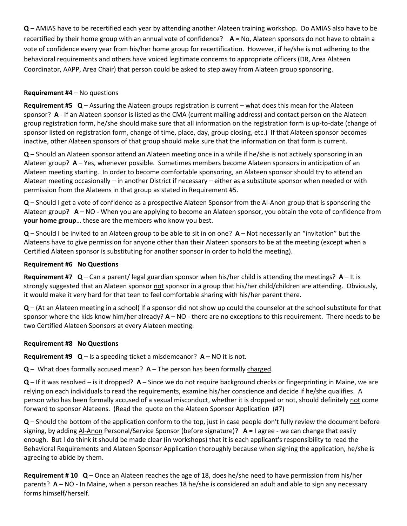**Q** – AMIAS have to be recertified each year by attending another Alateen training workshop. Do AMIAS also have to be recertified by their home group with an annual vote of confidence? **A** = No, Alateen sponsors do not have to obtain a vote of confidence every year from his/her home group for recertification. However, if he/she is not adhering to the behavioral requirements and others have voiced legitimate concerns to appropriate officers (DR, Area Alateen Coordinator, AAPP, Area Chair) that person could be asked to step away from Alateen group sponsoring.

## **Requirement #4** – No questions

**Requirement #5 Q** – Assuring the Alateen groups registration is current – what does this mean for the Alateen sponsor? **A** - If an Alateen sponsor is listed as the CMA (current mailing address) and contact person on the Alateen group registration form, he/she should make sure that all information on the registration form is up‐to‐date (change of sponsor listed on registration form, change of time, place, day, group closing, etc.) If that Alateen sponsor becomes inactive, other Alateen sponsors of that group should make sure that the information on that form is current.

**Q** – Should an Alateen sponsor attend an Alateen meeting once in a while if he/she is not actively sponsoring in an Alateen group? **A** – Yes, whenever possible. Sometimes members become Alateen sponsors in anticipation of an Alateen meeting starting. In order to become comfortable sponsoring, an Alateen sponsor should try to attend an Alateen meeting occasionally – in another District if necessary – either as a substitute sponsor when needed or with permission from the Alateens in that group as stated in Requirement #5.

**Q** – Should I get a vote of confidence as a prospective Alateen Sponsor from the Al‐Anon group that is sponsoring the Alateen group? **A** – NO ‐ When you are applying to become an Alateen sponsor, you obtain the vote of confidence from **your home group**… these are the members who know you best.

**Q** – Should I be invited to an Alateen group to be able to sit in on one? **A** – Not necessarily an "invitation" but the Alateens have to give permission for anyone other than their Alateen sponsors to be at the meeting (except when a Certified Alateen sponsor is substituting for another sponsor in order to hold the meeting).

#### **Requirement #6 No Questions**

**Requirement #7 Q** – Can a parent/ legal guardian sponsor when his/her child is attending the meetings? **A** – It is strongly suggested that an Alateen sponsor not sponsor in a group that his/her child/children are attending. Obviously, it would make it very hard for that teen to feel comfortable sharing with his/her parent there.

**Q** – (At an Alateen meeting in a school) If a sponsor did not show up could the counselor at the school substitute for that sponsor where the kids know him/her already?  $A - NO$  - there are no exceptions to this requirement. There needs to be two Certified Alateen Sponsors at every Alateen meeting.

#### **Requirement #8 No Questions**

**Requirement**  $#9$  $Q$  **– Is a speeding ticket a misdemeanor?**  $A - NO$  **it is not.** 

**Q** – What does formally accused mean? **A** – The person has been formally charged.

**Q** – If it was resolved – is it dropped? **A** – Since we do not require background checks or fingerprinting in Maine, we are relying on each individuals to read the requirements, examine his/her conscience and decide if he/she qualifies. A person who has been formally accused of a sexual misconduct, whether it is dropped or not, should definitely not come forward to sponsor Alateens. (Read the quote on the Alateen Sponsor Application (#7)

**Q** – Should the bottom of the application conform to the top, just in case people don't fully review the document before signing, by adding Al‐Anon Personal/Service Sponsor (before signature)? **A =** I agree ‐ we can change that easily enough. But I do think it should be made clear (in workshops) that it is each applicant's responsibility to read the Behavioral Requirements and Alateen Sponsor Application thoroughly because when signing the application, he/she is agreeing to abide by them.

**Requirement # 10 Q** – Once an Alateen reaches the age of 18, does he/she need to have permission from his/her parents? **A** – NO ‐ In Maine, when a person reaches 18 he/she is considered an adult and able to sign any necessary forms himself/herself.